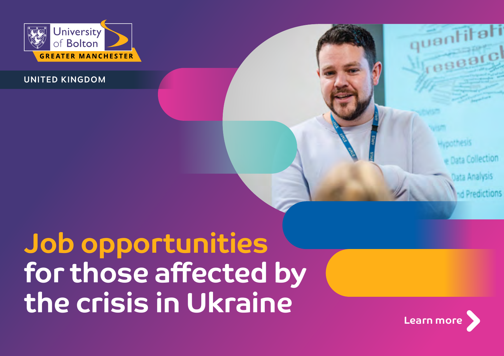

UNITED KINGDOM

Collection sta Analysis

# **Job opportunities for those affected by the crisis in Ukraine**

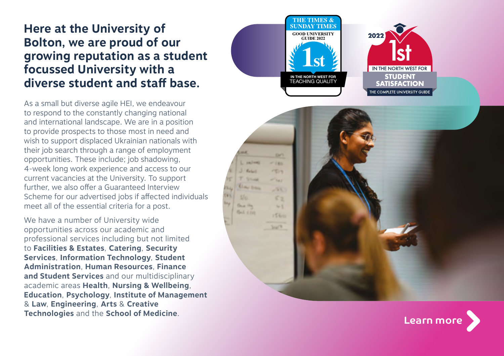# **Here at the University of Bolton, we are proud of our growing reputation as a student focussed University with a diverse student and staff base.**

As a small but diverse agile HEI, we endeavour to respond to the constantly changing national and international landscape. We are in a position to provide prospects to those most in need and wish to support displaced Ukrainian nationals with their job search through a range of employment opportunities. These include; job shadowing, 4-week long work experience and access to our current vacancies at the University. To support further, we also offer a Guaranteed Interview Scheme for our advertised jobs if affected individuals meet all of the essential criteria for a post.

We have a number of University wide opportunities across our academic and professional services including but not limited to **Facilities & Estates**, **Catering**, **Security Services**, **Information Technology**, **Student Administration**, **Human Resources**, **Finance and Student Services** and our multidisciplinary academic areas **Health**, **Nursing & Wellbeing**, **Education**, **Psychology**, **Institute of Management** & **Law**, **Engineering**, **Arts** & **Creative Technologies** and the **School of Medicine** .